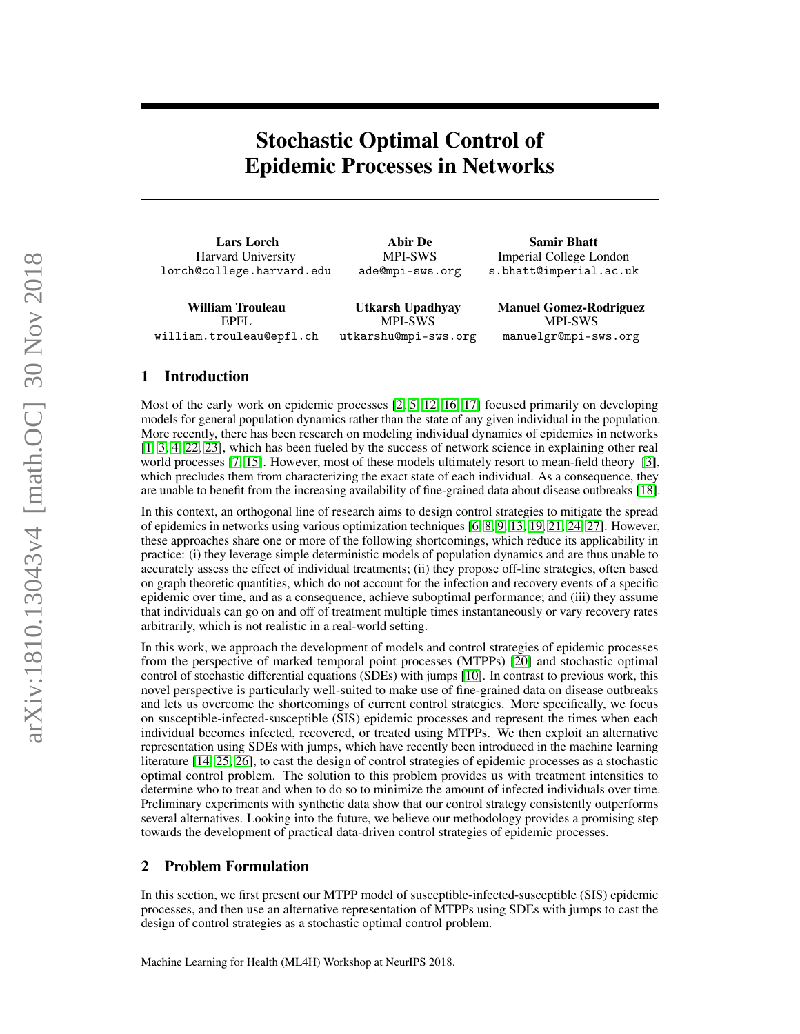# Stochastic Optimal Control of Epidemic Processes in Networks

Lars Lorch Harvard University lorch@college.harvard.edu

Abir De MPI-SWS ade@mpi-sws.org

Samir Bhatt Imperial College London s.bhatt@imperial.ac.uk

William Trouleau EPFL william.trouleau@epfl.ch

Utkarsh Upadhyay MPI-SWS utkarshu@mpi-sws.org Manuel Gomez-Rodriguez MPI-SWS manuelgr@mpi-sws.org

# 1 Introduction

Most of the early work on epidemic processes [\[2,](#page-4-0) [5,](#page-4-1) [12,](#page-4-2) [16,](#page-4-3) [17\]](#page-4-4) focused primarily on developing models for general population dynamics rather than the state of any given individual in the population. More recently, there has been research on modeling individual dynamics of epidemics in networks [\[1,](#page-4-5) [3,](#page-4-6) [4,](#page-4-7) [22,](#page-4-8) [23\]](#page-4-9), which has been fueled by the success of network science in explaining other real world processes [\[7,](#page-4-10) [15\]](#page-4-11). However, most of these models ultimately resort to mean-field theory [\[3\]](#page-4-6), which precludes them from characterizing the exact state of each individual. As a consequence, they are unable to benefit from the increasing availability of fine-grained data about disease outbreaks [\[18\]](#page-4-12).

In this context, an orthogonal line of research aims to design control strategies to mitigate the spread of epidemics in networks using various optimization techniques [\[6,](#page-4-13) [8,](#page-4-14) [9,](#page-4-15) [13,](#page-4-16) [19,](#page-4-17) [21,](#page-4-18) [24,](#page-4-19) [27\]](#page-4-20). However, these approaches share one or more of the following shortcomings, which reduce its applicability in practice: (i) they leverage simple deterministic models of population dynamics and are thus unable to accurately assess the effect of individual treatments; (ii) they propose off-line strategies, often based on graph theoretic quantities, which do not account for the infection and recovery events of a specific epidemic over time, and as a consequence, achieve suboptimal performance; and (iii) they assume that individuals can go on and off of treatment multiple times instantaneously or vary recovery rates arbitrarily, which is not realistic in a real-world setting.

In this work, we approach the development of models and control strategies of epidemic processes from the perspective of marked temporal point processes (MTPPs) [\[20\]](#page-4-21) and stochastic optimal control of stochastic differential equations (SDEs) with jumps [\[10\]](#page-4-22). In contrast to previous work, this novel perspective is particularly well-suited to make use of fine-grained data on disease outbreaks and lets us overcome the shortcomings of current control strategies. More specifically, we focus on susceptible-infected-susceptible (SIS) epidemic processes and represent the times when each individual becomes infected, recovered, or treated using MTPPs. We then exploit an alternative representation using SDEs with jumps, which have recently been introduced in the machine learning literature [\[14,](#page-4-23) [25,](#page-4-24) [26\]](#page-4-25), to cast the design of control strategies of epidemic processes as a stochastic optimal control problem. The solution to this problem provides us with treatment intensities to determine who to treat and when to do so to minimize the amount of infected individuals over time. Preliminary experiments with synthetic data show that our control strategy consistently outperforms several alternatives. Looking into the future, we believe our methodology provides a promising step towards the development of practical data-driven control strategies of epidemic processes.

# 2 Problem Formulation

In this section, we first present our MTPP model of susceptible-infected-susceptible (SIS) epidemic processes, and then use an alternative representation of MTPPs using SDEs with jumps to cast the design of control strategies as a stochastic optimal control problem.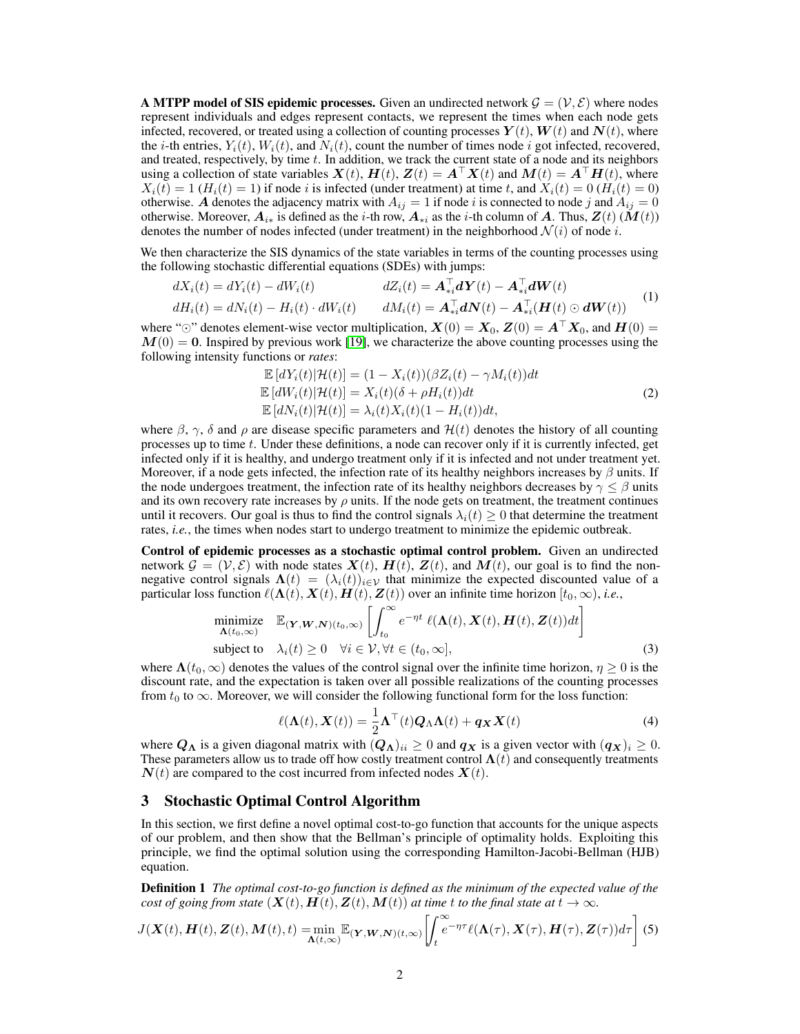**A MTPP model of SIS epidemic processes.** Given an undirected network  $\mathcal{G} = (\mathcal{V}, \mathcal{E})$  where nodes represent individuals and edges represent contacts, we represent the times when each node gets infected, recovered, or treated using a collection of counting processes  $Y(t)$ ,  $W(t)$  and  $N(t)$ , where the *i*-th entries,  $Y_i(t)$ ,  $W_i(t)$ , and  $N_i(t)$ , count the number of times node *i* got infected, recovered, and treated, respectively, by time t. In addition, we track the current state of a node and its neighbors using a collection of state variables  $\mathbf{X}(t)$ ,  $\mathbf{H}(t)$ ,  $\mathbf{Z}(t) = \mathbf{A}^{\top} \mathbf{X}(t)$  and  $\mathbf{M}(t) = \mathbf{A}^{\top} \mathbf{H}(t)$ , where  $X_i(t) = 1$  ( $H_i(t) = 1$ ) if node i is infected (under treatment) at time t, and  $X_i(t) = 0$  ( $H_i(t) = 0$ ) otherwise. A denotes the adjacency matrix with  $A_{ij} = 1$  if node i is connected to node j and  $A_{ij} = 0$ otherwise. Moreover,  $A_{i*}$  is defined as the *i*-th row,  $A_{*i}$  as the *i*-th column of A. Thus,  $Z(t)$  ( $M(t)$ ) denotes the number of nodes infected (under treatment) in the neighborhood  $\mathcal{N}(i)$  of node i.

We then characterize the SIS dynamics of the state variables in terms of the counting processes using the following stochastic differential equations (SDEs) with jumps:

<span id="page-1-1"></span>
$$
dX_i(t) = dY_i(t) - dW_i(t)
$$
  
\n
$$
dZ_i(t) = A_{*i}^\top dY(t) - A_{*i}^\top dW(t)
$$
  
\n
$$
dH_i(t) = dN_i(t) - H_i(t) \cdot dW_i(t)
$$
  
\n
$$
dM_i(t) = A_{*i}^\top dN(t) - A_{*i}^\top (H(t) \odot dW(t))
$$
\n(1)

where " $\odot$ " denotes element-wise vector multiplication,  $X(0) = X_0$ ,  $Z(0) = A^{\top} X_0$ , and  $H(0) =$  $M(0) = 0$ . Inspired by previous work [\[19\]](#page-4-17), we characterize the above counting processes using the following intensity functions or *rates*:

$$
\mathbb{E}\left[dY_i(t)|\mathcal{H}(t)\right] = (1 - X_i(t))\left(\beta Z_i(t) - \gamma M_i(t)\right)dt
$$
  
\n
$$
\mathbb{E}\left[dW_i(t)|\mathcal{H}(t)\right] = X_i(t)(\delta + \rho H_i(t))dt
$$
  
\n
$$
\mathbb{E}\left[dN_i(t)|\mathcal{H}(t)\right] = \lambda_i(t)X_i(t)(1 - H_i(t))dt,
$$
\n(2)

where  $\beta$ ,  $\gamma$ ,  $\delta$  and  $\rho$  are disease specific parameters and  $\mathcal{H}(t)$  denotes the history of all counting processes up to time  $t$ . Under these definitions, a node can recover only if it is currently infected, get infected only if it is healthy, and undergo treatment only if it is infected and not under treatment yet. Moreover, if a node gets infected, the infection rate of its healthy neighbors increases by  $\beta$  units. If the node undergoes treatment, the infection rate of its healthy neighbors decreases by  $\gamma \leq \beta$  units and its own recovery rate increases by  $\rho$  units. If the node gets on treatment, the treatment continues until it recovers. Our goal is thus to find the control signals  $\lambda_i(t) \geq 0$  that determine the treatment rates, *i.e.*, the times when nodes start to undergo treatment to minimize the epidemic outbreak.

Control of epidemic processes as a stochastic optimal control problem. Given an undirected network  $\mathcal{G} = (\mathcal{V}, \mathcal{E})$  with node states  $\mathbf{X}(t)$ ,  $\mathbf{H}(t)$ ,  $\mathbf{Z}(t)$ , and  $\mathbf{M}(t)$ , our goal is to find the nonnegative control signals  $\Lambda(t) = (\lambda_i(t))_{i \in \mathcal{V}}$  that minimize the expected discounted value of a particular loss function  $\ell(\mathbf{\Lambda}(t), \mathbf{X}(t), \mathbf{H}(t), \mathbf{Z}(t))$  over an infinite time horizon  $[t_0, \infty)$ , *i.e.*,

$$
\underset{\mathbf{A}(t_0,\infty)}{\text{minimize}} \quad \mathbb{E}_{(\mathbf{Y},\mathbf{W},\mathbf{N})(t_0,\infty)} \left[ \int_{t_0}^{\infty} e^{-\eta t} \ell(\mathbf{\Lambda}(t), \mathbf{X}(t), \mathbf{H}(t), \mathbf{Z}(t)) dt \right]
$$
\n
$$
\text{subject to} \quad \lambda_i(t) \ge 0 \quad \forall i \in \mathcal{V}, \forall t \in (t_0,\infty], \tag{3}
$$

where  $\Lambda(t_0, \infty)$  denotes the values of the control signal over the infinite time horizon,  $\eta \geq 0$  is the discount rate, and the expectation is taken over all possible realizations of the counting processes from  $t_0$  to  $\infty$ . Moreover, we will consider the following functional form for the loss function:

<span id="page-1-2"></span>
$$
\ell(\mathbf{\Lambda}(t), \mathbf{X}(t)) = \frac{1}{2} \mathbf{\Lambda}^\top(t) \mathbf{Q}_\Lambda \mathbf{\Lambda}(t) + \mathbf{q}_{\mathbf{X}} \mathbf{X}(t)
$$
\n(4)

where  $Q_{\Lambda}$  is a given diagonal matrix with  $(Q_{\Lambda})_{ii} \geq 0$  and  $q_X$  is a given vector with  $(q_X)_i \geq 0$ . These parameters allow us to trade off how costly treatment control  $\Lambda(t)$  and consequently treatments  $N(t)$  are compared to the cost incurred from infected nodes  $X(t)$ .

#### 3 Stochastic Optimal Control Algorithm

In this section, we first define a novel optimal cost-to-go function that accounts for the unique aspects of our problem, and then show that the Bellman's principle of optimality holds. Exploiting this principle, we find the optimal solution using the corresponding Hamilton-Jacobi-Bellman (HJB) equation.

Definition 1 *The optimal cost-to-go function is defined as the minimum of the expected value of the cost of going from state*  $(X(t), H(t), Z(t), M(t))$  *at time t to the final state at*  $t \to \infty$ *.* 

<span id="page-1-0"></span>
$$
J(\boldsymbol{X}(t),\boldsymbol{H}(t),\boldsymbol{Z}(t),\boldsymbol{M}(t),t) = \min_{\boldsymbol{\Lambda}(t,\infty)} \mathbb{E}_{(\boldsymbol{Y},\boldsymbol{W},\boldsymbol{N})(t,\infty)} \left[ \int_t^{\infty} e^{-\eta \tau} \ell(\boldsymbol{\Lambda}(\tau),\boldsymbol{X}(\tau),\boldsymbol{H}(\tau),\boldsymbol{Z}(\tau)) d\tau \right] (5)
$$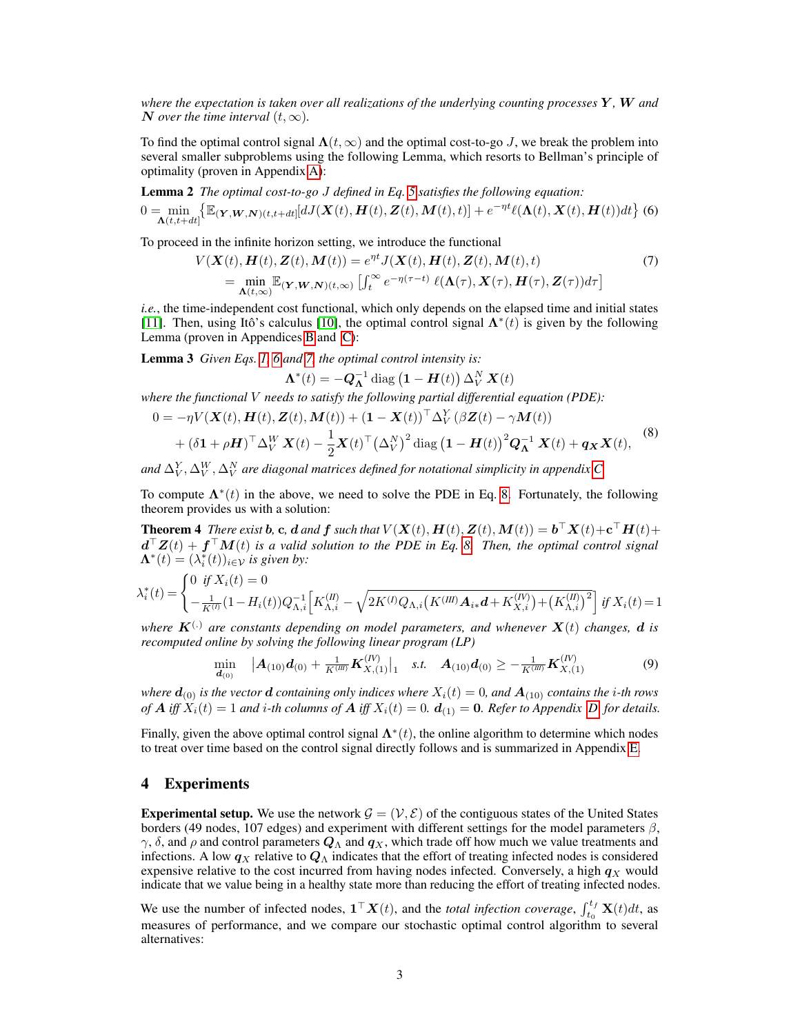*where the expectation is taken over all realizations of the underlying counting processes* Y *,* W *and* N over the time interval  $(t, \infty)$ .

To find the optimal control signal  $\Lambda(t, \infty)$  and the optimal cost-to-go J, we break the problem into several smaller subproblems using the following Lemma, which resorts to Bellman's principle of optimality (proven in Appendix [A\)](#page-5-0):

**Lemma 2** The optimal cost-to-go J defined in Eq. 5 satisfies the following equation:  
\n
$$
0 = \min_{\mathbf{\Lambda}(t, t+dt)} \{ \mathbb{E}(\mathbf{y}, \mathbf{w}, \mathbf{w})(t, t+dt) [dJ(\mathbf{X}(t), \mathbf{H}(t), \mathbf{Z}(t), \mathbf{M}(t), t)] + e^{-\eta t} \ell(\mathbf{\Lambda}(t), \mathbf{X}(t), \mathbf{H}(t)) dt \}
$$
(6)

To proceed in the infinite horizon setting, we introduce the functional

<span id="page-2-3"></span>
$$
V(\mathbf{X}(t), \mathbf{H}(t), \mathbf{Z}(t), \mathbf{M}(t)) = e^{\eta t} J(\mathbf{X}(t), \mathbf{H}(t), \mathbf{Z}(t), \mathbf{M}(t), t)
$$
  
= 
$$
\min_{\mathbf{\Lambda}(t,\infty)} \mathbb{E}_{(\mathbf{Y},\mathbf{W},\mathbf{N})(t,\infty)} \left[ \int_t^{\infty} e^{-\eta(\tau-t)} \ell(\mathbf{\Lambda}(\tau), \mathbf{X}(\tau), \mathbf{H}(\tau), \mathbf{Z}(\tau)) d\tau \right]
$$
(7)

*i.e.*, the time-independent cost functional, which only depends on the elapsed time and initial states [\[11\]](#page-4-26). Then, using Itô's calculus [\[10\]](#page-4-22), the optimal control signal  $\Lambda^*(t)$  is given by the following Lemma (proven in Appendices [B](#page-5-1) and [C\)](#page-6-0):

<span id="page-2-4"></span>Lemma 3 *Given Eqs. [1,](#page-1-1) [6](#page-2-0) and [7,](#page-2-1) the optimal control intensity is:*

<span id="page-2-5"></span><span id="page-2-2"></span><span id="page-2-1"></span><span id="page-2-0"></span>
$$
\mathbf{\Lambda}^*(t) = -\mathbf{Q}_{\mathbf{\Lambda}}^{-1} \operatorname{diag} (\mathbf{1} - \mathbf{H}(t)) \Delta_V^N \mathbf{X}(t)
$$

*where the functional* V *needs to satisfy the following partial differential equation (PDE):*

$$
0 = -\eta V(\mathbf{X}(t), \mathbf{H}(t), \mathbf{Z}(t), \mathbf{M}(t)) + (\mathbf{1} - \mathbf{X}(t))^\top \Delta_V^Y (\beta \mathbf{Z}(t) - \gamma \mathbf{M}(t)) + (\delta \mathbf{1} + \rho \mathbf{H})^\top \Delta_V^W \mathbf{X}(t) - \frac{1}{2} \mathbf{X}(t)^\top (\Delta_V^N)^2 \operatorname{diag} (\mathbf{1} - \mathbf{H}(t))^2 \mathbf{Q}_{\mathbf{A}}^{-1} \mathbf{X}(t) + \mathbf{q}_{\mathbf{X}} \mathbf{X}(t),
$$
 (8)

and  $\Delta_V^Y, \Delta_V^W, \Delta_V^N$  are diagonal matrices defined for notational simplicity in appendix [C.](#page-6-0)

To compute  $\Lambda^*(t)$  in the above, we need to solve the PDE in Eq. [8.](#page-2-2) Fortunately, the following theorem provides us with a solution:

**Theorem 4** There exist **b**, **c**, **d** and **f** such that  $V(X(t), H(t), Z(t), M(t)) = \mathbf{b}^\top X(t) + \mathbf{c}^\top H(t) +$  $d^{\top}Z(t) + f^{\top}M(t)$  is a valid solution to the PDE in Eq. [8.](#page-2-2) Then, the optimal control signal  $\Lambda^*(t) = (\lambda_i^*(t))_{i \in \mathcal{V}}$  *is given by:* 

$$
\lambda_i^*(t) = \begin{cases} 0 & \text{if } X_i(t) = 0\\ -\frac{1}{K^{(I)}}(1 - H_i(t))Q_{\Lambda,i}^{-1} \Big[ K_{\Lambda,i}^{(II)} - \sqrt{2K^{(I)}Q_{\Lambda,i}(K^{(III)}A_{i*}d + K_{X,i}^{(IV)}) + (K_{\Lambda,i}^{(II)})^2} \Big] & \text{if } X_i(t) = 1 \end{cases}
$$

*where*  $\mathbf{K}^{(.)}$  are constants depending on model parameters, and whenever  $\mathbf{X}(t)$  changes, **d** is *recomputed online by solving the following linear program (LP)*

$$
\min_{\mathbf{d}_{(0)}} \quad |\mathbf{A}_{(10)}\mathbf{d}_{(0)} + \frac{1}{K^{(III)}} \mathbf{K}_{X,(1)}^{(IV)}|_1 \quad \text{s.t.} \quad \mathbf{A}_{(10)}\mathbf{d}_{(0)} \ge -\frac{1}{K^{(III)}} \mathbf{K}_{X,(1)}^{(IV)} \tag{9}
$$

*where*  $d_{(0)}$  *is the vector*  $d$  *containing only indices where*  $X_i(t) = 0$ *, and*  $A_{(10)}$  *contains the i*-th *rows of*  $A$  *iff*  $X_i(t) = 1$  *and i-th columns of*  $A$  *iff*  $X_i(t) = 0$ *.*  $d_{(1)} = 0$ *. Refer to Appendix*  $D$  *for details.* 

Finally, given the above optimal control signal  $\Lambda^*(t)$ , the online algorithm to determine which nodes to treat over time based on the control signal directly follows and is summarized in Appendix [E.](#page-10-0)

#### 4 Experiments

**Experimental setup.** We use the network  $\mathcal{G} = (\mathcal{V}, \mathcal{E})$  of the contiguous states of the United States borders (49 nodes, 107 edges) and experiment with different settings for the model parameters  $\beta$ ,  $\gamma$ ,  $\delta$ , and  $\rho$  and control parameters  $\mathbf{Q}_{\Lambda}$  and  $\mathbf{q}_X$ , which trade off how much we value treatments and infections. A low  $q_X$  relative to  $Q_\Lambda$  indicates that the effort of treating infected nodes is considered expensive relative to the cost incurred from having nodes infected. Conversely, a high  $q<sub>X</sub>$  would indicate that we value being in a healthy state more than reducing the effort of treating infected nodes.

We use the number of infected nodes,  $\mathbf{1}^\top \mathbf{X}(t)$ , and the *total infection coverage*,  $\int_{t_0}^{t_f} \mathbf{X}(t) dt$ , as measures of performance, and we compare our stochastic optimal control algorithm to several alternatives: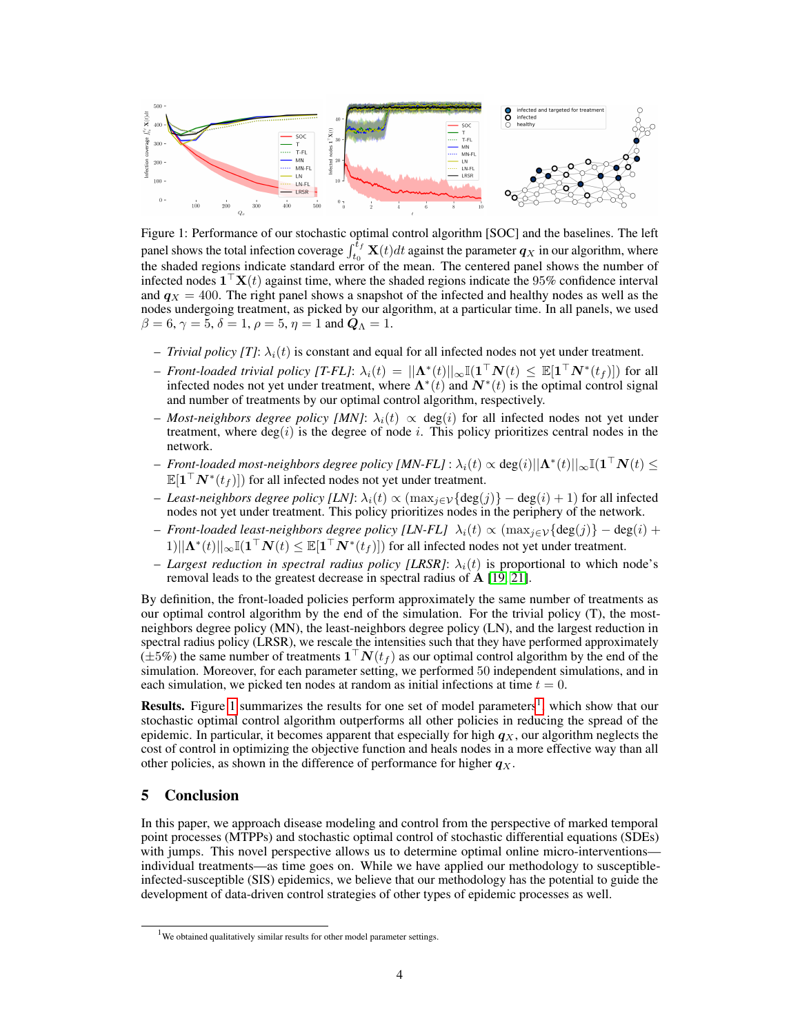<span id="page-3-0"></span>

Figure 1: Performance of our stochastic optimal control algorithm [SOC] and the baselines. The left panel shows the total infection coverage  $\int_{t_0}^{t_f} \mathbf{X}(t)dt$  against the parameter  $q_X$  in our algorithm, where the shaded regions indicate standard error of the mean. The centered panel shows the number of infected nodes  $\mathbf{1}^\top \mathbf{X}(t)$  against time, where the shaded regions indicate the 95% confidence interval and  $q_X = 400$ . The right panel shows a snapshot of the infected and healthy nodes as well as the nodes undergoing treatment, as picked by our algorithm, at a particular time. In all panels, we used  $\beta = 6$ ,  $\gamma = 5$ ,  $\delta = 1$ ,  $\rho = 5$ ,  $\eta = 1$  and  $Q_{\Lambda} = 1$ .

- *Trivial policy [T]*:  $\lambda_i(t)$  is constant and equal for all infected nodes not yet under treatment.
- *Front-loaded trivial policy [T-FL]*:  $\lambda_i(t) = ||\mathbf{\Lambda}^*(t)||_{\infty} \mathbb{I}(\mathbf{1}^\top \mathbf{N}(t) \leq \mathbb{E}[\mathbf{1}^\top \mathbf{N}^*(t_f)])$  for all infected nodes not yet under treatment, where  $\Lambda^*(t)$  and  $N^*(t)$  is the optimal control signal and number of treatments by our optimal control algorithm, respectively.
- $−$  *Most-neighbors degree policy [MN]*:  $\lambda_i(t) \propto deg(i)$  for all infected nodes not yet under treatment, where  $deg(i)$  is the degree of node i. This policy prioritizes central nodes in the network.
- $-$  *Front-loaded most-neighbors degree policy [MN-FL]* :  $\lambda_i(t) \propto$  deg $(i)$ || $\Lambda^*(t)$ || $\infty \mathbb{I}(\mathbf{1}^\top \boldsymbol{N}(t) \leq$  $\mathbb{E}[\mathbf{1}^\top \boldsymbol{N}^*(t_f)]$  for all infected nodes not yet under treatment.
- $-$  *Least-neighbors degree policy [LN]*:  $\lambda_i(t) \propto (\max_{j \in V} {\deg(j)} \deg(i) + 1)$  for all infected nodes not yet under treatment. This policy prioritizes nodes in the periphery of the network.
- $-$  *Front-loaded least-neighbors degree policy [LN-FL]*  $\lambda_i(t) \propto (\max_{j \in V} {\deg(j)} \deg(i) + \epsilon)$  $1) ||\mathbf{\Lambda}^*(t)||_{\infty} \mathbb{I}(\mathbf{1}^\top \mathbf{N}(t) \leq \mathbb{E}[\mathbf{1}^\top \mathbf{N}^*(t_f)])$  for all infected nodes not yet under treatment.
- *Largest reduction in spectral radius policy [LRSR]*:  $\lambda_i(t)$  is proportional to which node's removal leads to the greatest decrease in spectral radius of A [\[19,](#page-4-17) [21\]](#page-4-18).

By definition, the front-loaded policies perform approximately the same number of treatments as our optimal control algorithm by the end of the simulation. For the trivial policy (T), the mostneighbors degree policy (MN), the least-neighbors degree policy (LN), and the largest reduction in spectral radius policy (LRSR), we rescale the intensities such that they have performed approximately  $(\pm 5\%)$  the same number of treatments  $\mathbf{1}^\top \boldsymbol{N}(t_f)$  as our optimal control algorithm by the end of the simulation. Moreover, for each parameter setting, we performed 50 independent simulations, and in each simulation, we picked ten nodes at random as initial infections at time  $t = 0$ .

Results. Figure [1](#page-3-0) summarizes the results for one set of model parameters<sup>[1](#page-3-1)</sup>, which show that our stochastic optimal control algorithm outperforms all other policies in reducing the spread of the epidemic. In particular, it becomes apparent that especially for high  $q_X$ , our algorithm neglects the cost of control in optimizing the objective function and heals nodes in a more effective way than all other policies, as shown in the difference of performance for higher  $q_X$ .

# 5 Conclusion

In this paper, we approach disease modeling and control from the perspective of marked temporal point processes (MTPPs) and stochastic optimal control of stochastic differential equations (SDEs) with jumps. This novel perspective allows us to determine optimal online micro-interventions individual treatments—as time goes on. While we have applied our methodology to susceptibleinfected-susceptible (SIS) epidemics, we believe that our methodology has the potential to guide the development of data-driven control strategies of other types of epidemic processes as well.

<span id="page-3-1"></span> $1$ We obtained qualitatively similar results for other model parameter settings.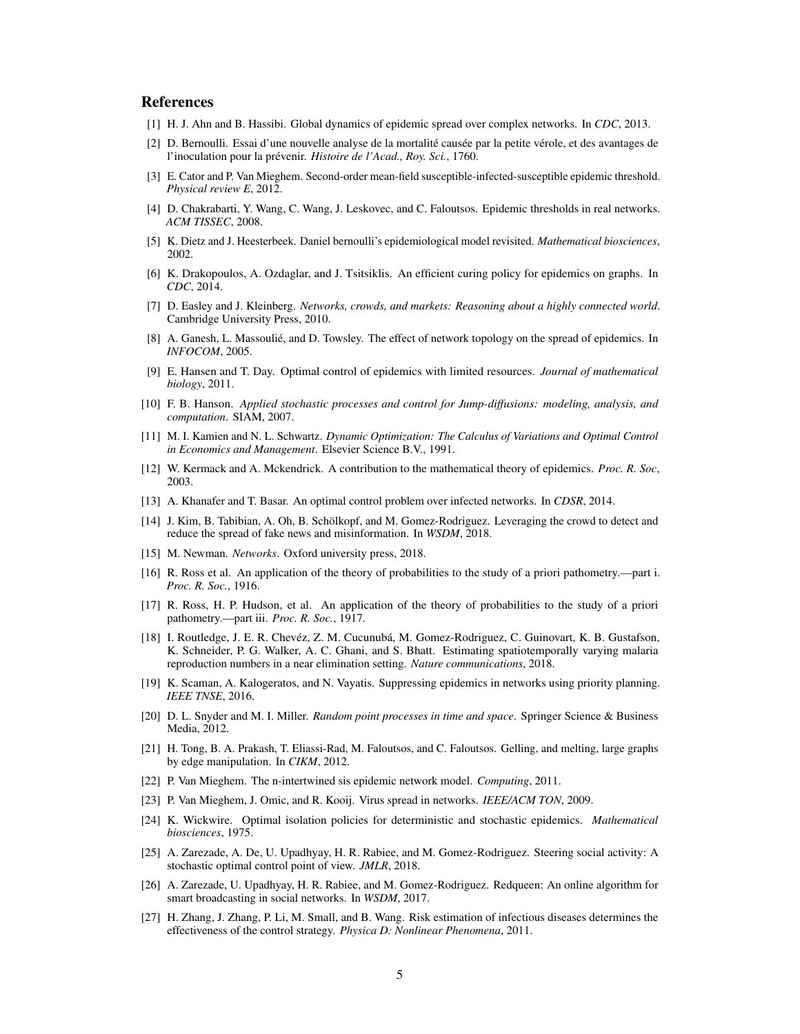#### References

- <span id="page-4-5"></span>[1] H. J. Ahn and B. Hassibi. Global dynamics of epidemic spread over complex networks. In *CDC*, 2013.
- <span id="page-4-0"></span>[2] D. Bernoulli. Essai d'une nouvelle analyse de la mortalité causée par la petite vérole, et des avantages de l'inoculation pour la prévenir. *Histoire de l'Acad., Roy. Sci.*, 1760.
- <span id="page-4-6"></span>[3] E. Cator and P. Van Mieghem. Second-order mean-field susceptible-infected-susceptible epidemic threshold. *Physical review E*, 2012.
- <span id="page-4-7"></span>[4] D. Chakrabarti, Y. Wang, C. Wang, J. Leskovec, and C. Faloutsos. Epidemic thresholds in real networks. *ACM TISSEC*, 2008.
- <span id="page-4-1"></span>[5] K. Dietz and J. Heesterbeek. Daniel bernoulli's epidemiological model revisited. *Mathematical biosciences*, 2002.
- <span id="page-4-13"></span>[6] K. Drakopoulos, A. Ozdaglar, and J. Tsitsiklis. An efficient curing policy for epidemics on graphs. In *CDC*, 2014.
- <span id="page-4-10"></span>[7] D. Easley and J. Kleinberg. *Networks, crowds, and markets: Reasoning about a highly connected world*. Cambridge University Press, 2010.
- <span id="page-4-14"></span>[8] A. Ganesh, L. Massoulié, and D. Towsley. The effect of network topology on the spread of epidemics. In *INFOCOM*, 2005.
- <span id="page-4-15"></span>[9] E. Hansen and T. Day. Optimal control of epidemics with limited resources. *Journal of mathematical biology*, 2011.
- <span id="page-4-22"></span>[10] F. B. Hanson. *Applied stochastic processes and control for Jump-diffusions: modeling, analysis, and computation*. SIAM, 2007.
- <span id="page-4-26"></span>[11] M. I. Kamien and N. L. Schwartz. *Dynamic Optimization: The Calculus of Variations and Optimal Control in Economics and Management*. Elsevier Science B.V., 1991.
- <span id="page-4-2"></span>[12] W. Kermack and A. Mckendrick. A contribution to the mathematical theory of epidemics. *Proc. R. Soc*, 2003.
- <span id="page-4-16"></span>[13] A. Khanafer and T. Basar. An optimal control problem over infected networks. In *CDSR*, 2014.
- <span id="page-4-23"></span>[14] J. Kim, B. Tabibian, A. Oh, B. Schölkopf, and M. Gomez-Rodriguez. Leveraging the crowd to detect and reduce the spread of fake news and misinformation. In *WSDM*, 2018.
- <span id="page-4-11"></span>[15] M. Newman. *Networks*. Oxford university press, 2018.
- <span id="page-4-3"></span>[16] R. Ross et al. An application of the theory of probabilities to the study of a priori pathometry.—part i. *Proc. R. Soc.*, 1916.
- <span id="page-4-4"></span>[17] R. Ross, H. P. Hudson, et al. An application of the theory of probabilities to the study of a priori pathometry.—part iii. *Proc. R. Soc.*, 1917.
- <span id="page-4-12"></span>[18] I. Routledge, J. E. R. Chevéz, Z. M. Cucunubá, M. Gomez-Rodriguez, C. Guinovart, K. B. Gustafson, K. Schneider, P. G. Walker, A. C. Ghani, and S. Bhatt. Estimating spatiotemporally varying malaria reproduction numbers in a near elimination setting. *Nature communications*, 2018.
- <span id="page-4-17"></span>[19] K. Scaman, A. Kalogeratos, and N. Vayatis. Suppressing epidemics in networks using priority planning. *IEEE TNSE*, 2016.
- <span id="page-4-21"></span>[20] D. L. Snyder and M. I. Miller. *Random point processes in time and space*. Springer Science & Business Media, 2012.
- <span id="page-4-18"></span>[21] H. Tong, B. A. Prakash, T. Eliassi-Rad, M. Faloutsos, and C. Faloutsos. Gelling, and melting, large graphs by edge manipulation. In *CIKM*, 2012.
- <span id="page-4-8"></span>[22] P. Van Mieghem. The n-intertwined sis epidemic network model. *Computing*, 2011.
- <span id="page-4-9"></span>[23] P. Van Mieghem, J. Omic, and R. Kooij. Virus spread in networks. *IEEE/ACM TON*, 2009.
- <span id="page-4-19"></span>[24] K. Wickwire. Optimal isolation policies for deterministic and stochastic epidemics. *Mathematical biosciences*, 1975.
- <span id="page-4-24"></span>[25] A. Zarezade, A. De, U. Upadhyay, H. R. Rabiee, and M. Gomez-Rodriguez. Steering social activity: A stochastic optimal control point of view. *JMLR*, 2018.
- <span id="page-4-25"></span>[26] A. Zarezade, U. Upadhyay, H. R. Rabiee, and M. Gomez-Rodriguez. Redqueen: An online algorithm for smart broadcasting in social networks. In *WSDM*, 2017.
- <span id="page-4-20"></span>[27] H. Zhang, J. Zhang, P. Li, M. Small, and B. Wang. Risk estimation of infectious diseases determines the effectiveness of the control strategy. *Physica D: Nonlinear Phenomena*, 2011.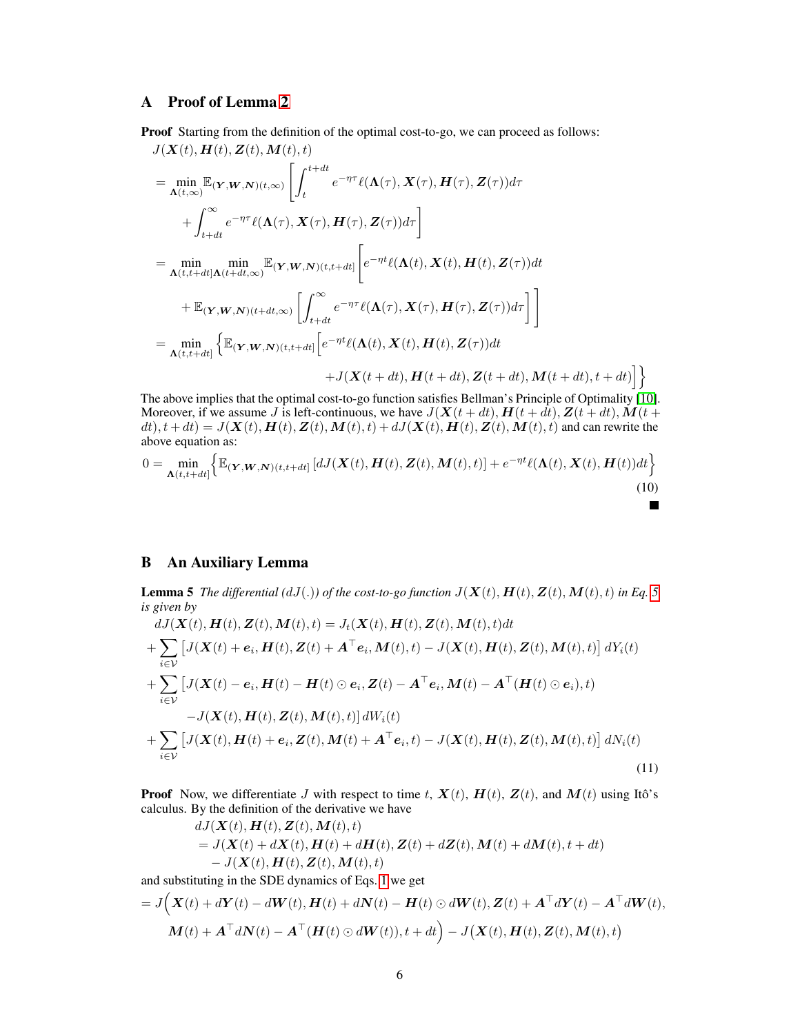## <span id="page-5-0"></span>A Proof of Lemma [2](#page-2-3)

Proof Starting from the definition of the optimal cost-to-go, we can proceed as follows:

$$
J(\mathbf{X}(t), \mathbf{H}(t), \mathbf{Z}(t), \mathbf{M}(t), t)
$$
\n
$$
= \min_{\mathbf{\Lambda}(t,\infty)} \mathbb{E}_{(\mathbf{Y},\mathbf{W},\mathbf{N})(t,\infty)} \left[ \int_{t}^{t+dt} e^{-\eta \tau} \ell(\mathbf{\Lambda}(\tau), \mathbf{X}(\tau), \mathbf{H}(\tau), \mathbf{Z}(\tau)) d\tau + \int_{t+dt}^{\infty} e^{-\eta \tau} \ell(\mathbf{\Lambda}(\tau), \mathbf{X}(\tau), \mathbf{H}(\tau), \mathbf{Z}(\tau)) d\tau \right]
$$
\n
$$
= \min_{\mathbf{\Lambda}(t,t+dt] \mathbf{\Lambda}(t+dt,\infty)} \min_{\mathbb{E}(\mathbf{Y},\mathbf{W},\mathbf{N})(t,t+dt]} \left[ e^{-\eta t} \ell(\mathbf{\Lambda}(t), \mathbf{X}(t), \mathbf{H}(t), \mathbf{Z}(\tau)) dt + \mathbb{E}_{(\mathbf{Y},\mathbf{W},\mathbf{N})(t+dt,\infty)} \left[ \int_{t+dt}^{\infty} e^{-\eta \tau} \ell(\mathbf{\Lambda}(\tau), \mathbf{X}(\tau), \mathbf{H}(\tau), \mathbf{Z}(\tau)) d\tau \right] \right]
$$
\n
$$
= \min_{\mathbf{\Lambda}(t,t+dt]} \left\{ \mathbb{E}_{(\mathbf{Y},\mathbf{W},\mathbf{N})(t,t+dt)} \left[ e^{-\eta t} \ell(\mathbf{\Lambda}(t), \mathbf{X}(t), \mathbf{H}(t), \mathbf{Z}(\tau)) dt + J(\mathbf{X}(t+dt), \mathbf{H}(t+dt), \mathbf{Z}(t+dt), \mathbf{M}(t+dt), t+dt) \right] \right\}
$$

The above implies that the optimal cost-to-go function satisfies Bellman's Principle of Optimality [\[10\]](#page-4-22). Moreover, if we assume J is left-continuous, we have  $J(X(t + dt), H(t + dt), Z(t + dt), M(t + dt))$  $dt$ ,  $t + dt$ ) =  $J(\mathbf{X}(t), \mathbf{H}(t), \mathbf{Z}(t), \mathbf{M}(t), t) + dJ(\mathbf{X}(t), \mathbf{H}(t), \mathbf{Z}(t), \mathbf{M}(t), t)$  and can rewrite the above equation as:

$$
0 = \min_{\mathbf{\Lambda}(t,t+dt]} \left\{ \mathbb{E}_{(\mathbf{Y},\mathbf{W},\mathbf{N})(t,t+dt]} \left[ dJ(\mathbf{X}(t),\mathbf{H}(t),\mathbf{Z}(t),\mathbf{M}(t),t) \right] + e^{-\eta t} \ell(\mathbf{\Lambda}(t),\mathbf{X}(t),\mathbf{H}(t))dt \right\}
$$
(10)

<span id="page-5-4"></span><span id="page-5-2"></span>T

## <span id="page-5-1"></span>B An Auxiliary Lemma

<span id="page-5-3"></span>**Lemma [5](#page-1-0)** *The differential*  $(dJ(.))$  *of the cost-to-go function*  $J(\mathbf{X}(t), \mathbf{H}(t), \mathbf{Z}(t), \mathbf{M}(t), t)$  *in Eq.* 5 *is given by*

$$
dJ(\mathbf{X}(t), \mathbf{H}(t), \mathbf{Z}(t), \mathbf{M}(t), t) = J_t(\mathbf{X}(t), \mathbf{H}(t), \mathbf{Z}(t), \mathbf{M}(t), t)dt
$$
  
+ 
$$
\sum_{i \in \mathcal{V}} \left[ J(\mathbf{X}(t) + \mathbf{e}_i, \mathbf{H}(t), \mathbf{Z}(t) + \mathbf{A}^\top \mathbf{e}_i, \mathbf{M}(t), t) - J(\mathbf{X}(t), \mathbf{H}(t), \mathbf{Z}(t), \mathbf{M}(t), t) \right] dY_i(t)
$$
  
+ 
$$
\sum_{i \in \mathcal{V}} \left[ J(\mathbf{X}(t) - \mathbf{e}_i, \mathbf{H}(t) - \mathbf{H}(t) \odot \mathbf{e}_i, \mathbf{Z}(t) - \mathbf{A}^\top \mathbf{e}_i, \mathbf{M}(t) - \mathbf{A}^\top (\mathbf{H}(t) \odot \mathbf{e}_i), t) - J(\mathbf{X}(t), \mathbf{H}(t), \mathbf{Z}(t), \mathbf{M}(t), t) \right] dW_i(t)
$$
  
+ 
$$
\sum_{i \in \mathcal{V}} \left[ J(\mathbf{X}(t), \mathbf{H}(t) + \mathbf{e}_i, \mathbf{Z}(t), \mathbf{M}(t) + \mathbf{A}^\top \mathbf{e}_i, t) - J(\mathbf{X}(t), \mathbf{H}(t), \mathbf{Z}(t), \mathbf{M}(t), t) \right] dN_i(t)
$$
(11)

**Proof** Now, we differentiate J with respect to time t,  $X(t)$ ,  $H(t)$ ,  $Z(t)$ , and  $M(t)$  using Itô's calculus. By the definition of the derivative we have  $\overline{U}$ ( $\overline{V}$ ),  $\overline{H}$ (t),  $\overline{H}$ (t),  $\overline{M}$ (t), t)

$$
dJ(\mathbf{X}(t), \mathbf{H}(t), \mathbf{Z}(t), \mathbf{M}(t), t)
$$
  
=  $J(\mathbf{X}(t) + d\mathbf{X}(t), \mathbf{H}(t) + d\mathbf{H}(t), \mathbf{Z}(t) + d\mathbf{Z}(t), \mathbf{M}(t) + d\mathbf{M}(t), t + dt)$   
-  $J(\mathbf{X}(t), \mathbf{H}(t), \mathbf{Z}(t), \mathbf{M}(t), t)$ 

and substituting in the SDE dynamics of Eqs. [1](#page-1-1) we get

$$
= J\Big(\boldsymbol{X}(t) + d\boldsymbol{Y}(t) - d\boldsymbol{W}(t), \boldsymbol{H}(t) + d\boldsymbol{N}(t) - \boldsymbol{H}(t) \odot d\boldsymbol{W}(t), \boldsymbol{Z}(t) + \boldsymbol{A}^\top d\boldsymbol{Y}(t) - \boldsymbol{A}^\top d\boldsymbol{W}(t),
$$
  

$$
\boldsymbol{M}(t) + \boldsymbol{A}^\top d\boldsymbol{N}(t) - \boldsymbol{A}^\top (\boldsymbol{H}(t) \odot d\boldsymbol{W}(t)), t + dt\Big) - J\big(\boldsymbol{X}(t), \boldsymbol{H}(t), \boldsymbol{Z}(t), \boldsymbol{M}(t), t\big)
$$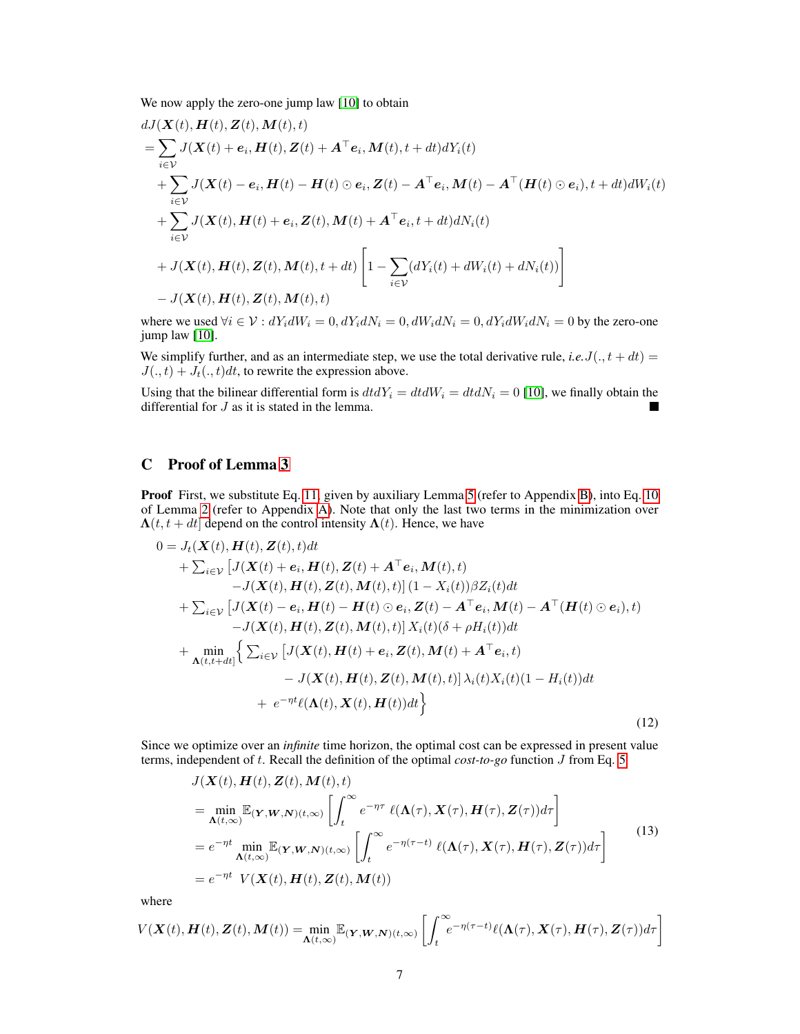We now apply the zero-one jump law [\[10\]](#page-4-22) to obtain

$$
dJ(\mathbf{X}(t), \mathbf{H}(t), \mathbf{Z}(t), \mathbf{M}(t), t)
$$
\n
$$
= \sum_{i \in \mathcal{V}} J(\mathbf{X}(t) + \mathbf{e}_i, \mathbf{H}(t), \mathbf{Z}(t) + \mathbf{A}^\top \mathbf{e}_i, \mathbf{M}(t), t + dt) dY_i(t)
$$
\n
$$
+ \sum_{i \in \mathcal{V}} J(\mathbf{X}(t) - \mathbf{e}_i, \mathbf{H}(t) - \mathbf{H}(t) \odot \mathbf{e}_i, \mathbf{Z}(t) - \mathbf{A}^\top \mathbf{e}_i, \mathbf{M}(t) - \mathbf{A}^\top (\mathbf{H}(t) \odot \mathbf{e}_i), t + dt) dW_i(t)
$$
\n
$$
+ \sum_{i \in \mathcal{V}} J(\mathbf{X}(t), \mathbf{H}(t) + \mathbf{e}_i, \mathbf{Z}(t), \mathbf{M}(t) + \mathbf{A}^\top \mathbf{e}_i, t + dt) dN_i(t)
$$
\n
$$
+ J(\mathbf{X}(t), \mathbf{H}(t), \mathbf{Z}(t), \mathbf{M}(t), t + dt) \left[ 1 - \sum_{i \in \mathcal{V}} (dY_i(t) + dW_i(t) + dN_i(t)) \right]
$$
\n
$$
- J(\mathbf{X}(t), \mathbf{H}(t), \mathbf{Z}(t), \mathbf{M}(t), t)
$$

where we used  $\forall i \in V : dY_i dW_i = 0, dY_i dN_i = 0, dW_i dN_i = 0, dY_i dW_i dN_i = 0$  by the zero-one jump law [\[10\]](#page-4-22).

We simplify further, and as an intermediate step, we use the total derivative rule, *i.e.*  $J(., t + dt)$  =  $J(., t) + J_t(., t)dt$ , to rewrite the expression above.

Using that the bilinear differential form is  $dtdY_i = dt dW_i = dt dN_i = 0$  [\[10\]](#page-4-22), we finally obtain the differential for J as it is stated in the lemma. ٠

### <span id="page-6-0"></span>C Proof of Lemma [3](#page-2-4)

Proof First, we substitute Eq. [11,](#page-5-2) given by auxiliary Lemma [5](#page-5-3) (refer to Appendix [B\)](#page-5-1), into Eq. [10](#page-5-4) of Lemma [2](#page-2-3) (refer to Appendix [A\)](#page-5-0). Note that only the last two terms in the minimization over  $\Lambda(t, t + dt]$  depend on the control intensity  $\Lambda(t)$ . Hence, we have

$$
0 = J_t(\mathbf{X}(t), \mathbf{H}(t), \mathbf{Z}(t), t)dt
$$
  
+  $\sum_{i \in \mathcal{V}} [J(\mathbf{X}(t) + \mathbf{e}_i, \mathbf{H}(t), \mathbf{Z}(t) + \mathbf{A}^\top \mathbf{e}_i, \mathbf{M}(t), t)$   
-  $J(\mathbf{X}(t), \mathbf{H}(t), \mathbf{Z}(t), \mathbf{M}(t), t)] (1 - X_i(t))\beta Z_i(t)dt$   
+  $\sum_{i \in \mathcal{V}} [J(\mathbf{X}(t) - \mathbf{e}_i, \mathbf{H}(t) - \mathbf{H}(t) \odot \mathbf{e}_i, \mathbf{Z}(t) - \mathbf{A}^\top \mathbf{e}_i, \mathbf{M}(t) - \mathbf{A}^\top (\mathbf{H}(t) \odot \mathbf{e}_i), t)$   
-  $J(\mathbf{X}(t), \mathbf{H}(t), \mathbf{Z}(t), \mathbf{M}(t), t)] X_i(t) (\delta + \rho H_i(t))dt$   
+  $\min_{\mathbf{A}(t, t + dt]} \Big\{ \sum_{i \in \mathcal{V}} [J(\mathbf{X}(t), \mathbf{H}(t) + \mathbf{e}_i, \mathbf{Z}(t), \mathbf{M}(t) + \mathbf{A}^\top \mathbf{e}_i, t)$   
-  $J(\mathbf{X}(t), \mathbf{H}(t), \mathbf{Z}(t), \mathbf{M}(t), t)] \lambda_i(t) X_i(t) (1 - H_i(t)) dt$   
+  $e^{-\eta t} \ell(\mathbf{\Lambda}(t), \mathbf{X}(t), \mathbf{H}(t)) dt \Big\}$  (12)

Since we optimize over an *infinite* time horizon, the optimal cost can be expressed in present value terms, independent of t. Recall the definition of the optimal *cost-to-go* function J from Eq. [5](#page-1-0)

<span id="page-6-2"></span><span id="page-6-1"></span>
$$
J(\mathbf{X}(t), \mathbf{H}(t), \mathbf{Z}(t), \mathbf{M}(t), t)
$$
\n
$$
= \min_{\mathbf{\Lambda}(t,\infty)} \mathbb{E}_{(\mathbf{Y},\mathbf{W},\mathbf{N})(t,\infty)} \left[ \int_{t}^{\infty} e^{-\eta \tau} \ell(\mathbf{\Lambda}(\tau), \mathbf{X}(\tau), \mathbf{H}(\tau), \mathbf{Z}(\tau)) d\tau \right]
$$
\n
$$
= e^{-\eta t} \min_{\mathbf{\Lambda}(t,\infty)} \mathbb{E}_{(\mathbf{Y},\mathbf{W},\mathbf{N})(t,\infty)} \left[ \int_{t}^{\infty} e^{-\eta(\tau-t)} \ell(\mathbf{\Lambda}(\tau), \mathbf{X}(\tau), \mathbf{H}(\tau), \mathbf{Z}(\tau)) d\tau \right]
$$
\n
$$
= e^{-\eta t} \ V(\mathbf{X}(t), \mathbf{H}(t), \mathbf{Z}(t), \mathbf{M}(t))
$$
\n(13)

where

$$
V(\boldsymbol{X}(t), \boldsymbol{H}(t), \boldsymbol{Z}(t), \boldsymbol{M}(t)) = \min_{\boldsymbol{\Lambda}(t, \infty)} \mathbb{E}_{(\boldsymbol{Y}, \boldsymbol{W}, \boldsymbol{N})(t, \infty)} \left[ \int_{t}^{\infty} e^{-\eta(\tau - t)} \ell(\boldsymbol{\Lambda}(\tau), \boldsymbol{X}(\tau), \boldsymbol{H}(\tau), \boldsymbol{Z}(\tau)) d\tau \right]
$$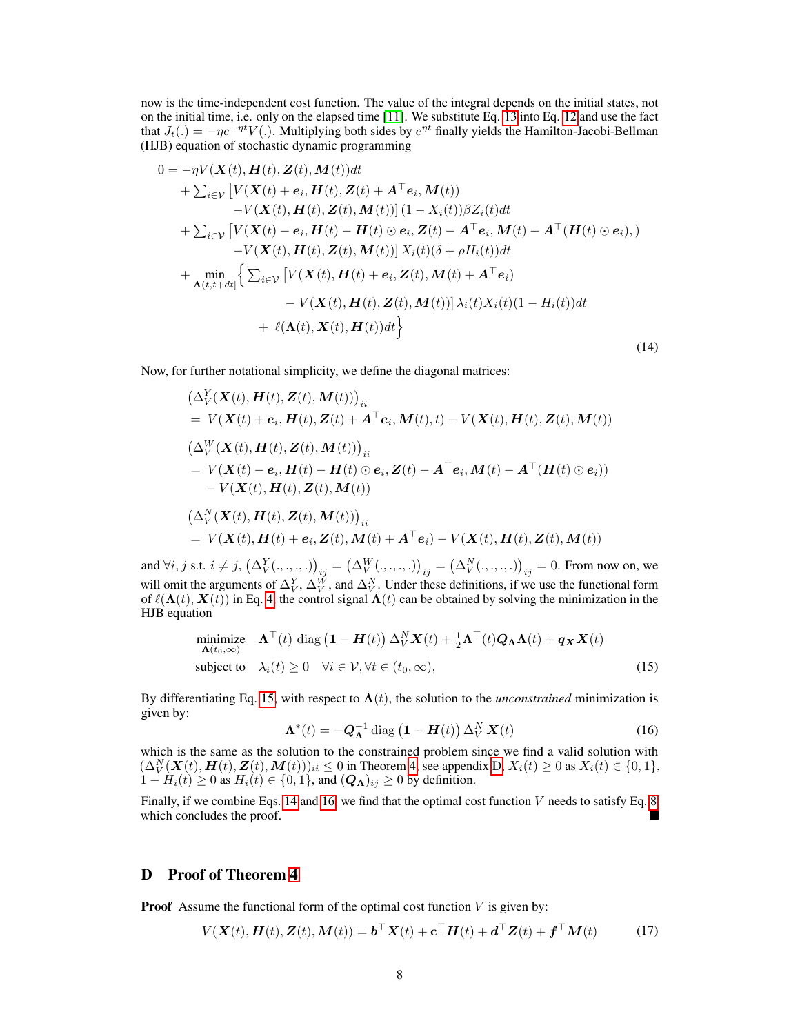now is the time-independent cost function. The value of the integral depends on the initial states, not on the initial time, i.e. only on the elapsed time [\[11\]](#page-4-26). We substitute Eq. [13](#page-6-1) into Eq. [12](#page-6-2) and use the fact that  $J_t(.) = -\eta e^{-\eta t} V(.)$ . Multiplying both sides by  $e^{\eta t}$  finally yields the Hamilton-Jacobi-Bellman (HJB) equation of stochastic dynamic programming

$$
0 = -\eta V(\mathbf{X}(t), \mathbf{H}(t), \mathbf{Z}(t), \mathbf{M}(t))dt + \sum_{i \in \mathcal{V}} \left[ V(\mathbf{X}(t) + \mathbf{e}_i, \mathbf{H}(t), \mathbf{Z}(t) + \mathbf{A}^\top \mathbf{e}_i, \mathbf{M}(t)) - V(\mathbf{X}(t), \mathbf{H}(t), \mathbf{Z}(t), \mathbf{M}(t)) \right] (1 - X_i(t)) \beta Z_i(t) dt + \sum_{i \in \mathcal{V}} \left[ V(\mathbf{X}(t) - \mathbf{e}_i, \mathbf{H}(t) - \mathbf{H}(t) \odot \mathbf{e}_i, \mathbf{Z}(t) - \mathbf{A}^\top \mathbf{e}_i, \mathbf{M}(t) - \mathbf{A}^\top (\mathbf{H}(t) \odot \mathbf{e}_i), \right) - V(\mathbf{X}(t), \mathbf{H}(t), \mathbf{Z}(t), \mathbf{M}(t)) \right] X_i(t) (\delta + \rho H_i(t)) dt + \min_{\mathbf{A}(t, t+dt]} \left\{ \sum_{i \in \mathcal{V}} \left[ V(\mathbf{X}(t), \mathbf{H}(t) + \mathbf{e}_i, \mathbf{Z}(t), \mathbf{M}(t) + \mathbf{A}^\top \mathbf{e}_i) - V(\mathbf{X}(t), \mathbf{H}(t), \mathbf{Z}(t), \mathbf{M}(t)) \right] \lambda_i(t) X_i(t) (1 - H_i(t)) dt + \ell(\mathbf{\Lambda}(t), \mathbf{X}(t), \mathbf{H}(t)) dt \right\}
$$
(14)

Now, for further notational simplicity, we define the diagonal matrices:

$$
\begin{aligned}\n&\left(\Delta_V^Y(\boldsymbol{X}(t), \boldsymbol{H}(t), \boldsymbol{Z}(t), \boldsymbol{M}(t))\right)_{ii} \\
&= V(\boldsymbol{X}(t) + \boldsymbol{e}_i, \boldsymbol{H}(t), \boldsymbol{Z}(t) + \boldsymbol{A}^\top \boldsymbol{e}_i, \boldsymbol{M}(t), t) - V(\boldsymbol{X}(t), \boldsymbol{H}(t), \boldsymbol{Z}(t), \boldsymbol{M}(t)) \\
&\left(\Delta_V^W(\boldsymbol{X}(t), \boldsymbol{H}(t), \boldsymbol{Z}(t), \boldsymbol{M}(t))\right)_{ii} \\
&= V(\boldsymbol{X}(t) - \boldsymbol{e}_i, \boldsymbol{H}(t) - \boldsymbol{H}(t) \odot \boldsymbol{e}_i, \boldsymbol{Z}(t) - \boldsymbol{A}^\top \boldsymbol{e}_i, \boldsymbol{M}(t) - \boldsymbol{A}^\top (\boldsymbol{H}(t) \odot \boldsymbol{e}_i)) \\
&- V(\boldsymbol{X}(t), \boldsymbol{H}(t), \boldsymbol{Z}(t), \boldsymbol{M}(t)) \\
&\left(\Delta_V^N(\boldsymbol{X}(t), \boldsymbol{H}(t), \boldsymbol{Z}(t), \boldsymbol{M}(t))\right)_{ii} \\
&= V(\boldsymbol{X}(t), \boldsymbol{H}(t) + \boldsymbol{e}_i, \boldsymbol{Z}(t), \boldsymbol{M}(t) + \boldsymbol{A}^\top \boldsymbol{e}_i) - V(\boldsymbol{X}(t), \boldsymbol{H}(t), \boldsymbol{Z}(t), \boldsymbol{M}(t))\n\end{aligned}
$$

and  $\forall i, j$  s.t.  $i \neq j$ ,  $(\Delta_V^Y(\cdot, \cdot, \cdot, \cdot))_{ij} = (\Delta_V^W(\cdot, \cdot, \cdot, \cdot))_{ij} = (\Delta_V^N(\cdot, \cdot, \cdot, \cdot))_{ij} = 0$ . From now on, we will omit the arguments of  $\Delta_V^Y$ ,  $\Delta_V^W$ , and  $\Delta_V^N$ . Under these definitions, if we use the functional form of  $\ell(\Lambda(t), \mathbf{X}(t))$  in Eq. [4,](#page-1-2) the control signal  $\Lambda(t)$  can be obtained by solving the minimization in the HJB equation

minimize 
$$
\mathbf{\Lambda}^{\top}(t) \operatorname{diag} (\mathbf{1} - \mathbf{H}(t)) \Delta_V^N \mathbf{X}(t) + \frac{1}{2} \mathbf{\Lambda}^{\top}(t) \mathbf{Q}_{\mathbf{\Lambda}} \mathbf{\Lambda}(t) + \mathbf{q}_{\mathbf{X}} \mathbf{X}(t)
$$
  
subject to  $\lambda_i(t) \geq 0 \quad \forall i \in \mathcal{V}, \forall t \in (t_0, \infty),$  (15)

By differentiating Eq. [15,](#page-7-1) with respect to  $\Lambda(t)$ , the solution to the *unconstrained* minimization is given by:

<span id="page-7-3"></span><span id="page-7-1"></span>
$$
\Lambda^*(t) = -Q_\Lambda^{-1} \operatorname{diag} \left(1 - H(t)\right) \Delta_V^N X(t) \tag{16}
$$

which is the same as the solution to the constrained problem since we find a valid solution with  $(\Delta_V^N(\mathbf{X}(t), \mathbf{H}(t), \mathbf{Z}(t), \mathbf{M}(t)))_{ii} \le 0$  in Theorem [4,](#page-2-5) see appendix [D,](#page-7-0)  $X_i(t) \ge 0$  as  $X_i(t) \in \{0, 1\}$ ,  $1 - H_i(t) \ge 0$  as  $H_i(t) \in \{0, 1\}$ , and  $(Q_{\Lambda})_{ij} \ge 0$  by definition.

Finally, if we combine Eqs. [14](#page-7-2) and [16,](#page-7-3) we find that the optimal cost function  $V$  needs to satisfy Eq. [8,](#page-2-2) which concludes the proof.

## <span id="page-7-0"></span>D Proof of Theorem [4](#page-2-5)

<span id="page-7-2"></span>∆<sup>Y</sup>

**Proof** Assume the functional form of the optimal cost function  $V$  is given by:

$$
V(\mathbf{X}(t), \mathbf{H}(t), \mathbf{Z}(t), \mathbf{M}(t)) = \mathbf{b}^{\top} \mathbf{X}(t) + \mathbf{c}^{\top} \mathbf{H}(t) + \mathbf{d}^{\top} \mathbf{Z}(t) + \mathbf{f}^{\top} \mathbf{M}(t)
$$
(17)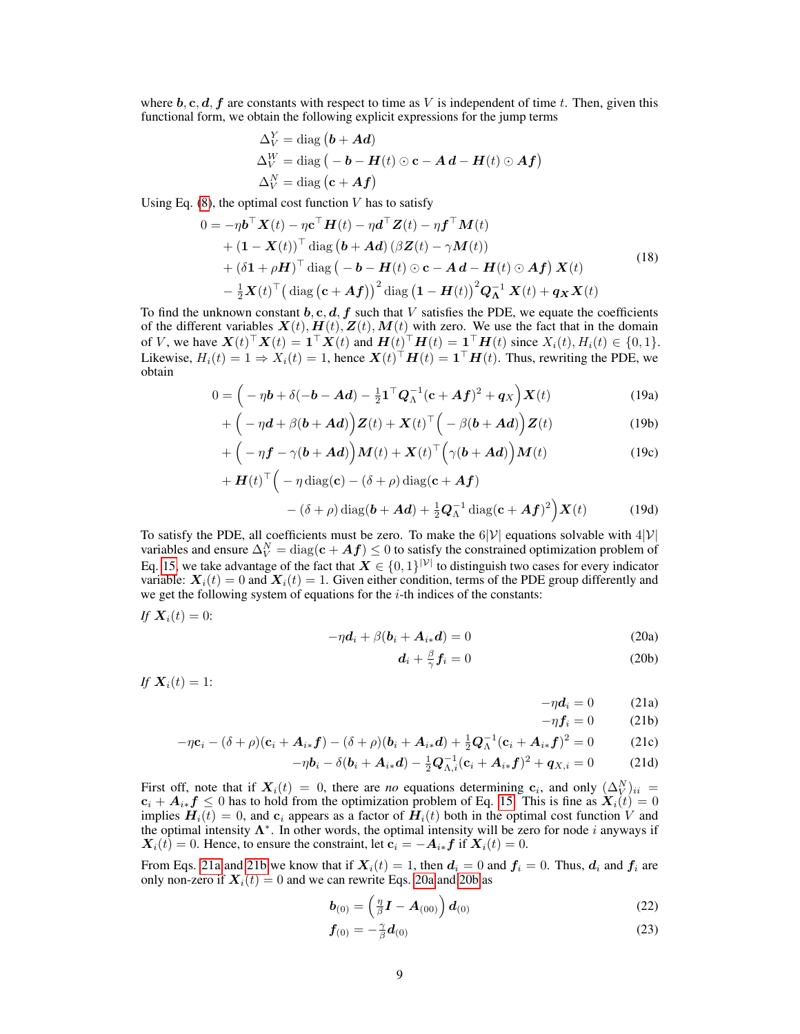where  $b, c, d, f$  are constants with respect to time as V is independent of time t. Then, given this functional form, we obtain the following explicit expressions for the jump terms

$$
\Delta_V^Y = \text{diag} (\boldsymbol{b} + \boldsymbol{A}\boldsymbol{d})
$$
  
 
$$
\Delta_V^W = \text{diag} (-\boldsymbol{b} - \boldsymbol{H}(t) \odot \mathbf{c} - \boldsymbol{A}\,\boldsymbol{d} - \boldsymbol{H}(t) \odot \boldsymbol{A}\boldsymbol{f})
$$
  
 
$$
\Delta_V^N = \text{diag} (\mathbf{c} + \boldsymbol{A}\boldsymbol{f})
$$

Using Eq.  $(8)$ , the optimal cost function V has to satisfy

$$
0 = -\eta \mathbf{b}^{\top} \mathbf{X}(t) - \eta \mathbf{c}^{\top} \mathbf{H}(t) - \eta \mathbf{d}^{\top} \mathbf{Z}(t) - \eta \mathbf{f}^{\top} \mathbf{M}(t)
$$
  
+  $(\mathbf{1} - \mathbf{X}(t))^{\top}$  diag  $(\mathbf{b} + \mathbf{A}\mathbf{d}) (\beta \mathbf{Z}(t) - \gamma \mathbf{M}(t))$   
+  $(\delta \mathbf{1} + \rho \mathbf{H})^{\top}$  diag  $(-\mathbf{b} - \mathbf{H}(t) \odot \mathbf{c} - \mathbf{A}\mathbf{d} - \mathbf{H}(t) \odot \mathbf{A}\mathbf{f}) \mathbf{X}(t)$   
 $- \frac{1}{2} \mathbf{X}(t)^{\top} (\text{diag } (\mathbf{c} + \mathbf{A}\mathbf{f}))^2 \text{diag } (\mathbf{1} - \mathbf{H}(t))^2 \mathbf{Q}_{\Lambda}^{-1} \mathbf{X}(t) + \mathbf{q}_{\mathbf{X}} \mathbf{X}(t)$  (18)

To find the unknown constant  $b, c, d, f$  such that V satisfies the PDE, we equate the coefficients of the different variables  $X(t)$ ,  $H(t)$ ,  $Z(t)$ ,  $M(t)$  with zero. We use the fact that in the domain of V, we have  $\mathbf{X}(t)^\top \mathbf{X}(t) = \mathbf{1}^\top \mathbf{X}(t)$  and  $\mathbf{H}(t)^\top \mathbf{H}(t) = \mathbf{1}^\top \mathbf{H}(t)$  since  $X_i(t), H_i(t) \in \{0, 1\}$ . Likewise,  $H_i(t) = 1 \Rightarrow X_i(t) = 1$ , hence  $\mathbf{X}(t)^\top \mathbf{H}(t) = \mathbf{1}^\top \mathbf{H}(t)$ . Thus, rewriting the PDE, we obtain

$$
0 = \left(-\eta \boldsymbol{b} + \delta(-\boldsymbol{b} - \boldsymbol{A}\boldsymbol{d}) - \frac{1}{2}\mathbf{1}^\top \boldsymbol{Q}_{\Lambda}^{-1}(\mathbf{c} + \boldsymbol{A}\boldsymbol{f})^2 + \boldsymbol{q}_X\right)\boldsymbol{X}(t) \tag{19a}
$$

$$
+\left(-\eta d+\beta(b+Ad)\right)Z(t)+X(t)^{\top}\left(-\beta(b+Ad)\right)Z(t)\tag{19b}
$$

$$
+\left(-\eta \boldsymbol{f}-\gamma(\boldsymbol{b}+\boldsymbol{A}\boldsymbol{d})\right)\boldsymbol{M}(t)+\boldsymbol{X}(t)^{\top}\Big(\gamma(\boldsymbol{b}+\boldsymbol{A}\boldsymbol{d})\Big)\boldsymbol{M}(t)\tag{19c}
$$

$$
+ \boldsymbol{H}(t)^{\top} \Big( - \eta \operatorname{diag}(\mathbf{c}) - (\delta + \rho) \operatorname{diag}(\mathbf{c} + \boldsymbol{A} \boldsymbol{f}) - (\delta + \rho) \operatorname{diag}(\boldsymbol{b} + \boldsymbol{A} \boldsymbol{d}) + \frac{1}{2} \boldsymbol{Q}_{\Lambda}^{-1} \operatorname{diag}(\mathbf{c} + \boldsymbol{A} \boldsymbol{f})^2 \Big) \boldsymbol{X}(t) \tag{19d}
$$

To satisfy the PDE, all coefficients must be zero. To make the  $6|V|$  equations solvable with  $4|V|$ variables and ensure  $\Delta_V^N = \text{diag}(\mathbf{c} + \bm{A}\bm{f}) \leq 0$  to satisfy the constrained optimization problem of Eq. [15,](#page-7-1) we take advantage of the fact that  $X \in \{0,1\}^{|\mathcal{V}|}$  to distinguish two cases for every indicator variable:  $X_i(t) = 0$  and  $X_i(t) = 1$ . Given either condition, terms of the PDE group differently and we get the following system of equations for the  $i$ -th indices of the constants:

If 
$$
X_i(t) = 0
$$
:

$$
-\eta \boldsymbol{d}_i + \beta (\boldsymbol{b}_i + \boldsymbol{A}_{i*}\boldsymbol{d}) = 0 \tag{20a}
$$

$$
\boldsymbol{d}_i + \frac{\beta}{\gamma} \boldsymbol{f}_i = 0 \tag{20b}
$$

If 
$$
X_i(t) = 1
$$
:

<span id="page-8-3"></span><span id="page-8-2"></span>
$$
-\eta \boldsymbol{d}_i = 0 \tag{21a}
$$

<span id="page-8-6"></span><span id="page-8-5"></span><span id="page-8-4"></span><span id="page-8-1"></span><span id="page-8-0"></span>
$$
-\eta f_i = 0 \qquad (21b)
$$

$$
-\eta \mathbf{c}_i - (\delta + \rho)(\mathbf{c}_i + \mathbf{A}_{i*} \mathbf{f}) - (\delta + \rho)(\mathbf{b}_i + \mathbf{A}_{i*} \mathbf{d}) + \frac{1}{2} \mathbf{Q}_{\Lambda}^{-1} (\mathbf{c}_i + \mathbf{A}_{i*} \mathbf{f})^2 = 0 \tag{21c}
$$

$$
-\eta \mathbf{b}_{i} - \delta(\mathbf{b}_{i} + \mathbf{A}_{i*} \mathbf{d}) - \frac{1}{2} \mathbf{Q}_{\Lambda, i}^{-1} (\mathbf{c}_{i} + \mathbf{A}_{i*} \mathbf{f})^{2} + \mathbf{q}_{X, i} = 0 \tag{21d}
$$

First off, note that if  $X_i(t) = 0$ , there are *no* equations determining  $c_i$ , and only  $(\Delta_V^N)_{ii} =$  $c_i + A_{i*}f \leq 0$  has to hold from the optimization problem of Eq. [15.](#page-7-1) This is fine as  $X_i(t) = 0$ implies  $H_i(t) = 0$ , and  $c_i$  appears as a factor of  $\bar{H}_i(t)$  both in the optimal cost function V and the optimal intensity  $\Lambda^*$ . In other words, the optimal intensity will be zero for node i anyways if  $X_i(t) = 0$ . Hence, to ensure the constraint, let  $c_i = -A_{i*}f$  if  $X_i(t) = 0$ .

From Eqs. [21a](#page-8-0) and [21b](#page-8-1) we know that if  $X_i(t) = 1$ , then  $d_i = 0$  and  $f_i = 0$ . Thus,  $d_i$  and  $f_i$  are only non-zero if  $X_i(t) = 0$  and we can rewrite Eqs. [20a](#page-8-2) and [20b](#page-8-3) as

$$
\boldsymbol{b}_{(0)} = \left(\frac{\eta}{\beta}\boldsymbol{I} - \boldsymbol{A}_{(00)}\right)\boldsymbol{d}_{(0)}\tag{22}
$$

$$
\mathbf{f}_{(0)} = -\frac{\gamma}{\beta} \mathbf{d}_{(0)} \tag{23}
$$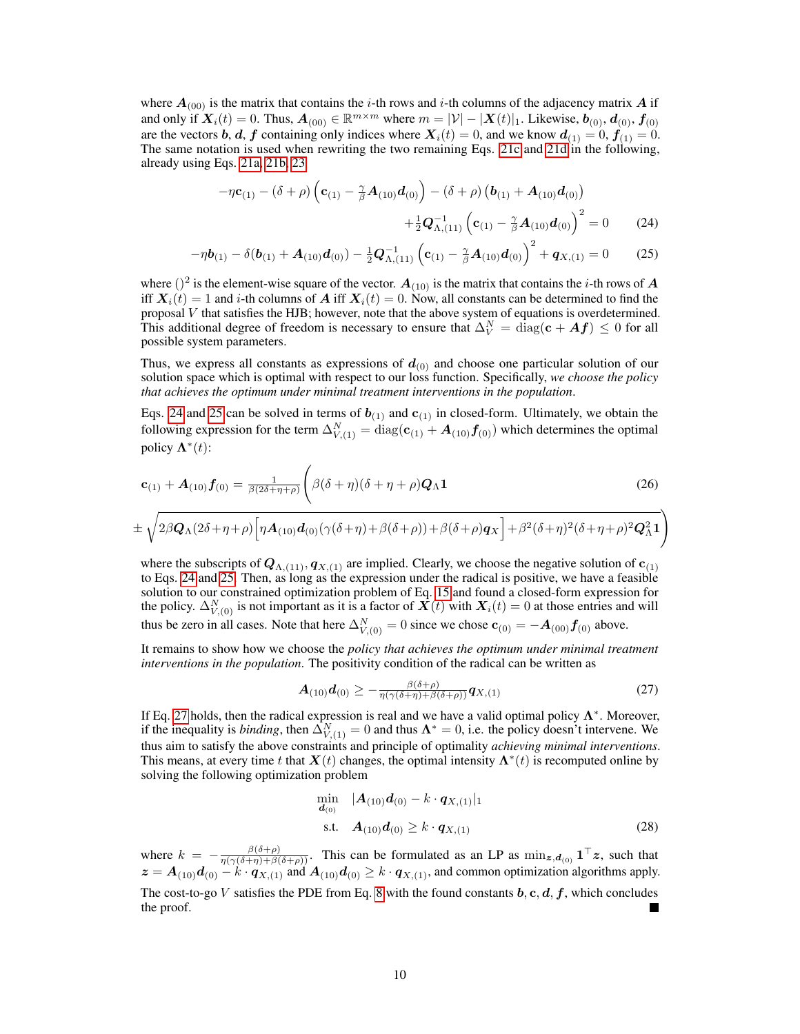where  $A_{(00)}$  is the matrix that contains the *i*-th rows and *i*-th columns of the adjacency matrix A if and only if  $\mathbf{X}_i(t) = 0$ . Thus,  $\mathbf{A}_{(00)} \in \mathbb{R}^{m \times m}$  where  $m = |\mathcal{V}| - |\mathbf{X}(t)|_1$ . Likewise,  $\mathbf{b}_{(0)}$ ,  $\mathbf{d}_{(0)}$ ,  $\mathbf{f}_{(0)}$ are the vectors b, d, f containing only indices where  $X_i(t) = 0$ , and we know  $d_{(1)} = 0$ ,  $f_{(1)} = 0$ . The same notation is used when rewriting the two remaining Eqs. [21c](#page-8-4) and [21d](#page-8-5) in the following, already using Eqs. [21a,](#page-8-0) [21b,](#page-8-1) [23](#page-8-6)

<span id="page-9-1"></span><span id="page-9-0"></span>
$$
-\eta \mathbf{c}_{(1)} - (\delta + \rho) \left( \mathbf{c}_{(1)} - \frac{\gamma}{\beta} \mathbf{A}_{(10)} \mathbf{d}_{(0)} \right) - (\delta + \rho) \left( \mathbf{b}_{(1)} + \mathbf{A}_{(10)} \mathbf{d}_{(0)} \right) + \frac{1}{2} \mathbf{Q}_{\Lambda,(11)}^{-1} \left( \mathbf{c}_{(1)} - \frac{\gamma}{\beta} \mathbf{A}_{(10)} \mathbf{d}_{(0)} \right)^2 = 0 \tag{24}
$$

$$
-\eta \boldsymbol{b}_{(1)} - \delta(\boldsymbol{b}_{(1)} + \boldsymbol{A}_{(10)} \boldsymbol{d}_{(0)}) - \frac{1}{2} \boldsymbol{Q}_{\Lambda,(11)}^{-1} \left( \boldsymbol{c}_{(1)} - \frac{\gamma}{\beta} \boldsymbol{A}_{(10)} \boldsymbol{d}_{(0)} \right)^2 + \boldsymbol{q}_{X,(1)} = 0 \qquad (25)
$$

where  $()^2$  is the element-wise square of the vector.  $A_{(10)}$  is the matrix that contains the *i*-th rows of A iff  $X_i(t) = 1$  and i-th columns of A iff  $X_i(t) = 0$ . Now, all constants can be determined to find the proposal V that satisfies the HJB; however, note that the above system of equations is overdetermined. This additional degree of freedom is necessary to ensure that  $\Delta_V^N = \text{diag}(\mathbf{c} + \mathbf{A} \mathbf{f}) \leq 0$  for all possible system parameters.

Thus, we express all constants as expressions of  $d_{(0)}$  and choose one particular solution of our solution space which is optimal with respect to our loss function. Specifically, *we choose the policy that achieves the optimum under minimal treatment interventions in the population*.

Eqs. [24](#page-9-0) and [25](#page-9-1) can be solved in terms of  $b_{(1)}$  and  $c_{(1)}$  in closed-form. Ultimately, we obtain the following expression for the term  $\Delta_{V,(1)}^N=\text{diag}(\mathbf{c}_{(1)}+\boldsymbol{A}_{(10)}\boldsymbol{f}_{(0)})$  which determines the optimal policy  $\mathbf{\Lambda}^*(t)$ :

$$
\mathbf{c}_{(1)} + \mathbf{A}_{(10)}\mathbf{f}_{(0)} = \frac{1}{\beta(2\delta + \eta + \rho)} \left( \beta(\delta + \eta)(\delta + \eta + \rho)\mathbf{Q}_{\Lambda}\mathbf{1} \right)
$$
(26)

$$
\pm\sqrt{2\beta\mathbf{Q}_{\Lambda}(2\delta+\eta+\rho)\Big[\eta\mathbf{A}_{(10)}\mathbf{d}_{(0)}(\gamma(\delta+\eta)+\beta(\delta+\rho))+\beta(\delta+\rho)\mathbf{q}_{X}\Big] +\beta^2(\delta+\eta)^2(\delta+\eta+\rho)^2\mathbf{Q}_{\Lambda}^2\mathbf{1}}\Big)}
$$

where the subscripts of  $Q_{\Lambda,(11)}, q_{X,(1)}$  are implied. Clearly, we choose the negative solution of  $c_{(1)}$ to Eqs. [24](#page-9-0) and [25.](#page-9-1) Then, as long as the expression under the radical is positive, we have a feasible solution to our constrained optimization problem of Eq. [15](#page-7-1) and found a closed-form expression for the policy.  $\Delta_{V,(0)}^N$  is not important as it is a factor of  $\overline{X}(t)$  with  $X_i(t) = 0$  at those entries and will thus be zero in all cases. Note that here  $\Delta_{V,(0)}^N = 0$  since we chose  $\mathbf{c}_{(0)} = -\boldsymbol{A}_{(00)} \boldsymbol{f}_{(0)}$  above.

It remains to show how we choose the *policy that achieves the optimum under minimal treatment interventions in the population*. The positivity condition of the radical can be written as

<span id="page-9-2"></span>
$$
\boldsymbol{A}_{(10)}\boldsymbol{d}_{(0)} \geq -\frac{\beta(\delta+\rho)}{\eta(\gamma(\delta+\eta)+\beta(\delta+\rho))}\boldsymbol{q}_{X,(1)}\tag{27}
$$

If Eq. [27](#page-9-2) holds, then the radical expression is real and we have a valid optimal policy  $\Lambda^*$ . Moreover, if the inequality is *binding*, then  $\Delta_{V,(1)}^N = 0$  and thus  $\mathbf{\Lambda}^* = 0$ , i.e. the policy doesn't intervene. We thus aim to satisfy the above constraints and principle of optimality *achieving minimal interventions*. This means, at every time t that  $\mathbf{X}(t)$  changes, the optimal intensity  $\mathbf{\Lambda}^*(t)$  is recomputed online by solving the following optimization problem

$$
\min_{\mathbf{d}_{(0)}} \quad |\mathbf{A}_{(10)}\mathbf{d}_{(0)} - k \cdot \mathbf{q}_{X,(1)}|_1
$$
\ns.t.

\n
$$
\mathbf{A}_{(10)}\mathbf{d}_{(0)} \ge k \cdot \mathbf{q}_{X,(1)}
$$
\n(28)

where  $k = -\frac{\beta(\delta+\rho)}{\eta(\gamma(\delta+\eta)+\beta(\delta+\rho))}$ . This can be formulated as an LP as  $\min_{\mathbf{z},\mathbf{d}_{(0)}} \mathbf{1}^{\top}\mathbf{z}$ , such that  $z = A_{(10)}d_{(0)} - k \cdot q_{X,(1)}$  and  $A_{(10)}d_{(0)} \geq k \cdot q_{X,(1)}$ , and common optimization algorithms apply.

The cost-to-go V satisfies the PDE from Eq. [8](#page-2-2) with the found constants  $b, c, d, f$ , which concludes the proof.